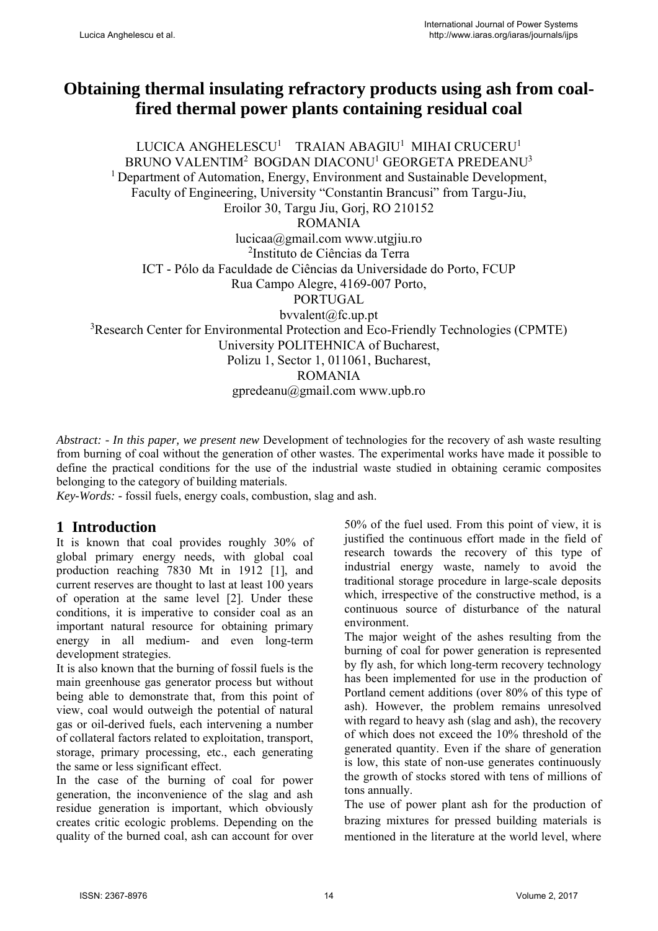# **Obtaining thermal insulating refractory products using ash from coalfired thermal power plants containing residual coal**

LUCICA ANGHELESCU<sup>1</sup> TRAIAN ABAGIU<sup>1</sup> MIHAI CRUCERU<sup>1</sup> BRUNO VALENTIM<sup>2</sup> BOGDAN DIACONU<sup>1</sup> GEORGETA PREDEANU<sup>3</sup> <sup>1</sup> Department of Automation, Energy, Environment and Sustainable Development, Faculty of Engineering, University "Constantin Brancusi" from Targu-Jiu, Eroilor 30, Targu Jiu, Gorj, RO 210152 ROMANIA lucicaa@gmail.com www.utgjiu.ro 2 Instituto de Ciências da Terra ICT - Pólo da Faculdade de Ciências da Universidade do Porto, FCUP Rua Campo Alegre, 4169-007 Porto, PORTUGAL bvvalent@fc.up.pt 3 Research Center for Environmental Protection and Eco-Friendly Technologies (CPMTE) University POLITEHNICA of Bucharest, Polizu 1, Sector 1, 011061, Bucharest, ROMANIA gpredeanu@gmail.com www.upb.ro

*Abstract: - In this paper, we present new* Development of technologies for the recovery of ash waste resulting from burning of coal without the generation of other wastes. The experimental works have made it possible to define the practical conditions for the use of the industrial waste studied in obtaining ceramic composites belonging to the category of building materials.

*Key-Words: -* fossil fuels, energy coals, combustion, slag and ash.

## **1 Introduction**

It is known that coal provides roughly 30% of global primary energy needs, with global coal production reaching 7830 Mt in 1912 [1], and current reserves are thought to last at least 100 years of operation at the same level [2]. Under these conditions, it is imperative to consider coal as an important natural resource for obtaining primary energy in all medium- and even long-term development strategies.

It is also known that the burning of fossil fuels is the main greenhouse gas generator process but without being able to demonstrate that, from this point of view, coal would outweigh the potential of natural gas or oil-derived fuels, each intervening a number of collateral factors related to exploitation, transport, storage, primary processing, etc., each generating the same or less significant effect.

In the case of the burning of coal for power generation, the inconvenience of the slag and ash residue generation is important, which obviously creates critic ecologic problems. Depending on the quality of the burned coal, ash can account for over 50% of the fuel used. From this point of view, it is justified the continuous effort made in the field of research towards the recovery of this type of industrial energy waste, namely to avoid the traditional storage procedure in large-scale deposits which, irrespective of the constructive method, is a continuous source of disturbance of the natural environment.

The major weight of the ashes resulting from the burning of coal for power generation is represented by fly ash, for which long-term recovery technology has been implemented for use in the production of Portland cement additions (over 80% of this type of ash). However, the problem remains unresolved with regard to heavy ash (slag and ash), the recovery of which does not exceed the 10% threshold of the generated quantity. Even if the share of generation is low, this state of non-use generates continuously the growth of stocks stored with tens of millions of tons annually.

The use of power plant ash for the production of brazing mixtures for pressed building materials is mentioned in the literature at the world level, where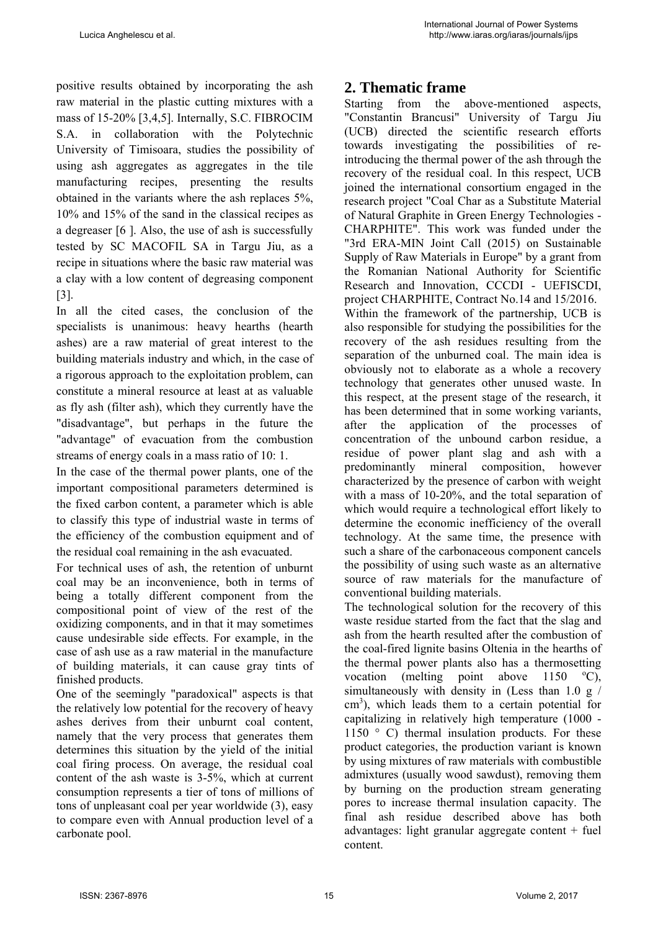positive results obtained by incorporating the ash raw material in the plastic cutting mixtures with a mass of 15-20% [3,4,5]. Internally, S.C. FIBROCIM S.A. in collaboration with the Polytechnic University of Timisoara, studies the possibility of using ash aggregates as aggregates in the tile manufacturing recipes, presenting the results obtained in the variants where the ash replaces 5%, 10% and 15% of the sand in the classical recipes as a degreaser [6 ]. Also, the use of ash is successfully tested by SC MACOFIL SA in Targu Jiu, as a recipe in situations where the basic raw material was a clay with a low content of degreasing component [3].

In all the cited cases, the conclusion of the specialists is unanimous: heavy hearths (hearth ashes) are a raw material of great interest to the building materials industry and which, in the case of a rigorous approach to the exploitation problem, can constitute a mineral resource at least at as valuable as fly ash (filter ash), which they currently have the "disadvantage", but perhaps in the future the "advantage" of evacuation from the combustion streams of energy coals in a mass ratio of 10: 1.

In the case of the thermal power plants, one of the important compositional parameters determined is the fixed carbon content, a parameter which is able to classify this type of industrial waste in terms of the efficiency of the combustion equipment and of the residual coal remaining in the ash evacuated.

For technical uses of ash, the retention of unburnt coal may be an inconvenience, both in terms of being a totally different component from the compositional point of view of the rest of the oxidizing components, and in that it may sometimes cause undesirable side effects. For example, in the case of ash use as a raw material in the manufacture of building materials, it can cause gray tints of finished products.

One of the seemingly "paradoxical" aspects is that the relatively low potential for the recovery of heavy ashes derives from their unburnt coal content, namely that the very process that generates them determines this situation by the yield of the initial coal firing process. On average, the residual coal content of the ash waste is 3-5%, which at current consumption represents a tier of tons of millions of tons of unpleasant coal per year worldwide (3), easy to compare even with Annual production level of a carbonate pool.

## **2. Thematic frame**

Starting from the above-mentioned aspects, "Constantin Brancusi" University of Targu Jiu (UCB) directed the scientific research efforts towards investigating the possibilities of reintroducing the thermal power of the ash through the recovery of the residual coal. In this respect, UCB joined the international consortium engaged in the research project "Coal Char as a Substitute Material of Natural Graphite in Green Energy Technologies - CHARPHITE". This work was funded under the "3rd ERA-MIN Joint Call (2015) on Sustainable Supply of Raw Materials in Europe" by a grant from the Romanian National Authority for Scientific Research and Innovation, CCCDI - UEFISCDI, project CHARPHITE, Contract No.14 and 15/2016. Within the framework of the partnership, UCB is also responsible for studying the possibilities for the recovery of the ash residues resulting from the separation of the unburned coal. The main idea is obviously not to elaborate as a whole a recovery technology that generates other unused waste. In this respect, at the present stage of the research, it has been determined that in some working variants, after the application of the processes of concentration of the unbound carbon residue, a residue of power plant slag and ash with a predominantly mineral composition, however characterized by the presence of carbon with weight with a mass of 10-20%, and the total separation of which would require a technological effort likely to determine the economic inefficiency of the overall technology. At the same time, the presence with such a share of the carbonaceous component cancels the possibility of using such waste as an alternative source of raw materials for the manufacture of conventional building materials.

The technological solution for the recovery of this waste residue started from the fact that the slag and ash from the hearth resulted after the combustion of the coal-fired lignite basins Oltenia in the hearths of the thermal power plants also has a thermosetting vocation (melting point above 1150  $\mathrm{^{\circ}C}$ ), simultaneously with density in (Less than 1.0 g / cm<sup>3</sup>), which leads them to a certain potential for capitalizing in relatively high temperature (1000 - 1150 ° C) thermal insulation products. For these product categories, the production variant is known by using mixtures of raw materials with combustible admixtures (usually wood sawdust), removing them by burning on the production stream generating pores to increase thermal insulation capacity. The final ash residue described above has both advantages: light granular aggregate content  $+$  fuel content.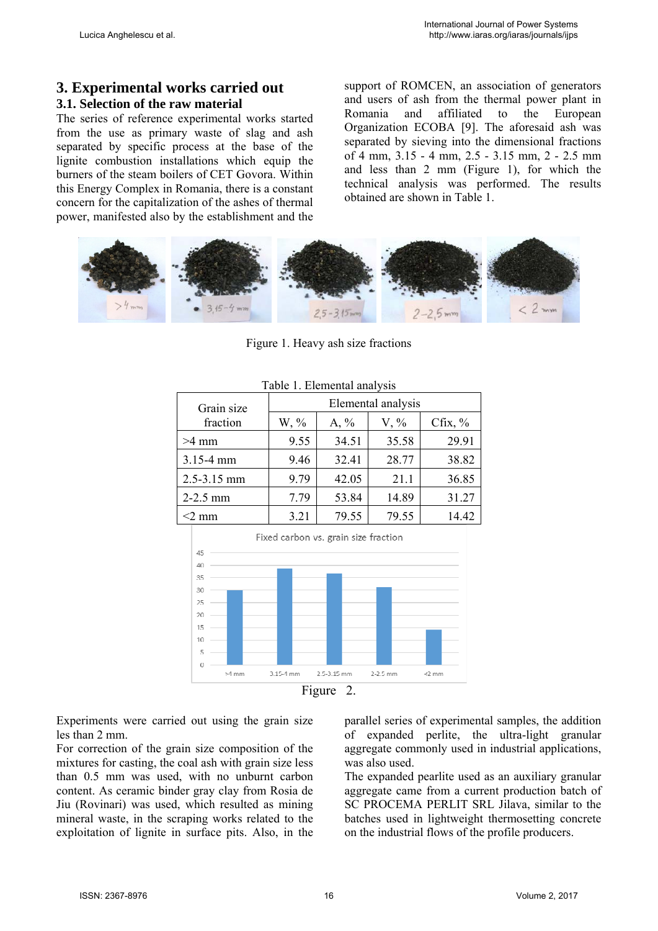## **3. Experimental works carried out**

## **3.1. Selection of the raw material**

The series of reference experimental works started from the use as primary waste of slag and ash separated by specific process at the base of the lignite combustion installations which equip the burners of the steam boilers of CET Govora. Within this Energy Complex in Romania, there is a constant concern for the capitalization of the ashes of thermal power, manifested also by the establishment and the support of ROMCEN, an association of generators and users of ash from the thermal power plant in Romania and affiliated to the European Organization ECOBA [9]. The aforesaid ash was separated by sieving into the dimensional fractions of 4 mm, 3.15 - 4 mm, 2.5 - 3.15 mm, 2 - 2.5 mm and less than 2 mm (Figure 1), for which the technical analysis was performed. The results obtained are shown in Table 1.



Figure 1. Heavy ash size fractions

| Grain size    | Elemental analysis |         |         |           |  |  |  |  |  |  |
|---------------|--------------------|---------|---------|-----------|--|--|--|--|--|--|
| fraction      | $W, \%$            | $A, \%$ | $V, \%$ | Cfix, $%$ |  |  |  |  |  |  |
| $>4$ mm       | 9.55               | 34.51   | 35.58   | 29.91     |  |  |  |  |  |  |
| $3.15 - 4$ mm | 9.46               | 32.41   | 28.77   | 38.82     |  |  |  |  |  |  |
| 2.5-3.15 mm   | 9.79               | 42.05   | 21.1    | 36.85     |  |  |  |  |  |  |
| $2 - 2.5$ mm  | 7.79               | 53.84   | 14.89   | 31.27     |  |  |  |  |  |  |
| $<$ 2 mm      | 3.21               | 79.55   | 79.55   | 14.42     |  |  |  |  |  |  |

### Table 1. Elemental analysis



Figure 2.

Experiments were carried out using the grain size les than 2 mm.

For correction of the grain size composition of the mixtures for casting, the coal ash with grain size less than 0.5 mm was used, with no unburnt carbon content. As ceramic binder gray clay from Rosia de Jiu (Rovinari) was used, which resulted as mining mineral waste, in the scraping works related to the exploitation of lignite in surface pits. Also, in the parallel series of experimental samples, the addition of expanded perlite, the ultra-light granular aggregate commonly used in industrial applications, was also used.

The expanded pearlite used as an auxiliary granular aggregate came from a current production batch of SC PROCEMA PERLIT SRL Jilava, similar to the batches used in lightweight thermosetting concrete on the industrial flows of the profile producers.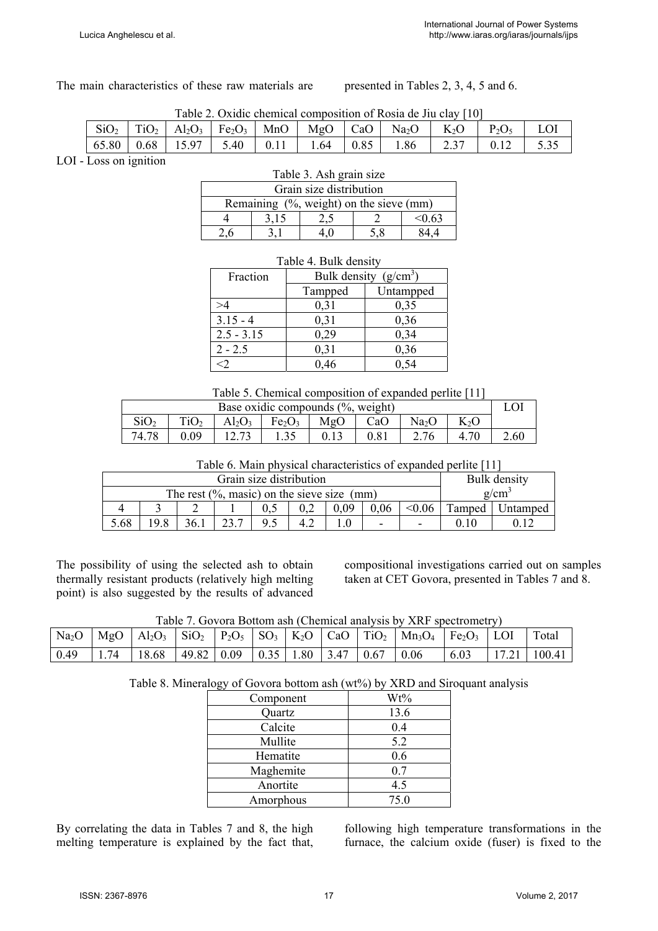The main characteristics of these raw materials are presented in Tables 2, 3, 4, 5 and 6.

| Table 2. Oxidic chemical composition of Rosia de Jiu clay [10]                                                                                                                                                                                                           |  |  |  |  |  |  |  |  |  |  |  |
|--------------------------------------------------------------------------------------------------------------------------------------------------------------------------------------------------------------------------------------------------------------------------|--|--|--|--|--|--|--|--|--|--|--|
| $\vert$ SiO <sub>2</sub> $\vert$ TiO <sub>2</sub> $\vert$ Al <sub>2</sub> O <sub>3</sub> $\vert$ Fe <sub>2</sub> O <sub>3</sub> $\vert$ MnO $\vert$ MgO $\vert$ CaO $\vert$ Na <sub>2</sub> O $\vert$ K <sub>2</sub> O $\vert$ P <sub>2</sub> O <sub>5</sub> $\vert$ LOI |  |  |  |  |  |  |  |  |  |  |  |
| $\vert 65.80 \vert 0.68 \vert 15.97 \vert 5.40 \vert 0.11 \vert 1.64 \vert 0.85 \vert 1.86 \vert 2.37 \vert 0.12 \vert 5.35$                                                                                                                                             |  |  |  |  |  |  |  |  |  |  |  |

LOI - Loss on ignition

| Table 3. Ash grain size                     |                 |  |  |  |  |  |  |  |  |  |
|---------------------------------------------|-----------------|--|--|--|--|--|--|--|--|--|
| Grain size distribution                     |                 |  |  |  |  |  |  |  |  |  |
| Remaining $(\%$ , weight) on the sieve (mm) |                 |  |  |  |  |  |  |  |  |  |
|                                             | $-0.63$<br>3.15 |  |  |  |  |  |  |  |  |  |
|                                             | 5.8             |  |  |  |  |  |  |  |  |  |

| Table 4. Duik gehistly |                         |           |  |  |  |  |  |
|------------------------|-------------------------|-----------|--|--|--|--|--|
| Fraction               | Bulk density $(g/cm^3)$ |           |  |  |  |  |  |
|                        | Tampped                 | Untampped |  |  |  |  |  |
| >4                     | 0,31                    | 0,35      |  |  |  |  |  |
| $3.15 - 4$             | 0,31                    | 0,36      |  |  |  |  |  |
| $2.5 - 3.15$           | 0,29                    | 0,34      |  |  |  |  |  |
| $2 - 2.5$              | 0,31                    | 0,36      |  |  |  |  |  |
| $\leq$ 2               | 0,46                    | 0.54      |  |  |  |  |  |

#### Table 4. Bulk density

Table 5. Chemical composition of expanded perlite [11]

| Base oxidic compounds $(\%$ , weight) |                  |           |                                                                      |      |      |      |      |      |  |  |
|---------------------------------------|------------------|-----------|----------------------------------------------------------------------|------|------|------|------|------|--|--|
| SiO <sub>2</sub>                      | TiO <sub>2</sub> | $Al_2O_3$ | $K_2O$<br>$\vert$ Fe <sub>2</sub> O <sub>3</sub>   MgO   CaO<br>Na2O |      |      |      |      |      |  |  |
| 74.78                                 | 0.09             | 12.73     | 1.35                                                                 | 0.13 | 0.81 | 2.76 | 4.70 | 2.60 |  |  |

Table 6. Main physical characteristics of expanded perlite [11]

|                                                |  |  | Bulk density |  |  |      |      |        |        |          |
|------------------------------------------------|--|--|--------------|--|--|------|------|--------|--------|----------|
| The rest $(\%$ , masic) on the sieve size (mm) |  |  |              |  |  |      |      |        |        | g/cm     |
|                                                |  |  |              |  |  | 0,09 | 0,06 | < 0.06 | Tamped | Jntamped |
| $\overline{\phantom{0}}$                       |  |  |              |  |  |      |      |        |        |          |

The possibility of using the selected ash to obtain thermally resistant products (relatively high melting point) is also suggested by the results of advanced

compositional investigations carried out on samples taken at CET Govora, presented in Tables 7 and 8.

Table 7. Govora Bottom ash (Chemical analysis by XRF spectrometry)

|  |                                                                         |  |  |  | $\text{Na}_2\text{O}$   MgO   Al <sub>2</sub> O <sub>3</sub>   SiO <sub>2</sub>   P <sub>2</sub> O <sub>5</sub>   SO <sub>3</sub>   K <sub>2</sub> O   CaO   TiO <sub>2</sub>   Mn <sub>3</sub> O <sub>4</sub>   Fe <sub>2</sub> O <sub>3</sub>   LOI   Total |  |                         |
|--|-------------------------------------------------------------------------|--|--|--|---------------------------------------------------------------------------------------------------------------------------------------------------------------------------------------------------------------------------------------------------------------|--|-------------------------|
|  | $0.49$   1.74   18.68   49.82   0.09   0.35   1.80   3.47   0.67   0.06 |  |  |  |                                                                                                                                                                                                                                                               |  | $6.03$   17.21   100.41 |

Table 8. Mineralogy of Govora bottom ash (wt%) by XRD and Siroquant analysis

| Component | Wt%  |
|-----------|------|
| Quartz    | 13.6 |
| Calcite   | 0.4  |
| Mullite   | 5.2  |
| Hematite  | 0.6  |
| Maghemite | 0.7  |
| Anortite  | 4.5  |
| Amorphous | 75.0 |

By correlating the data in Tables 7 and 8, the high melting temperature is explained by the fact that, following high temperature transformations in the furnace, the calcium oxide (fuser) is fixed to the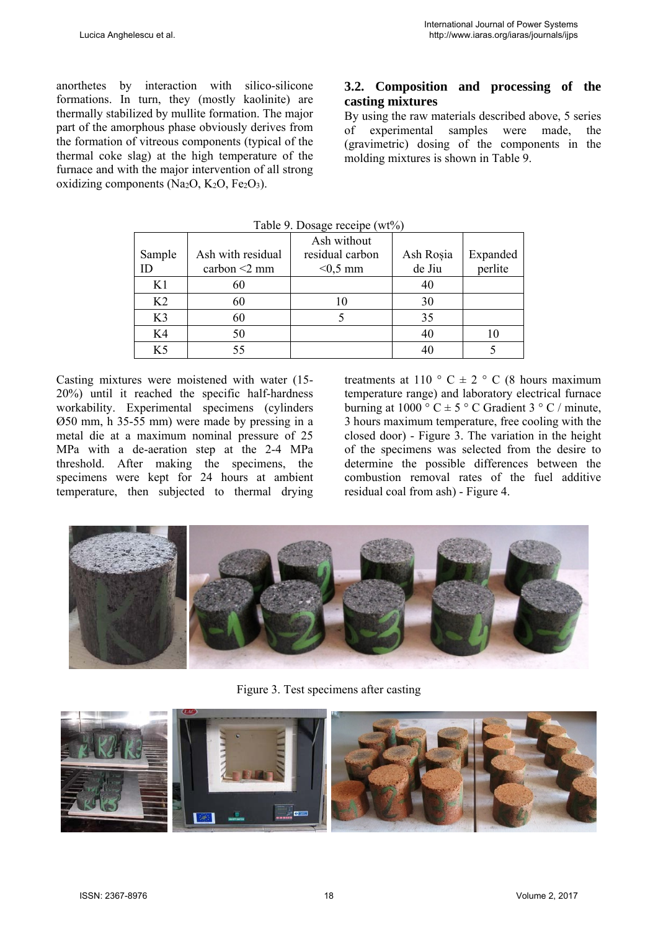anorthetes by interaction with silico-silicone formations. In turn, they (mostly kaolinite) are thermally stabilized by mullite formation. The major part of the amorphous phase obviously derives from the formation of vitreous components (typical of the thermal coke slag) at the high temperature of the furnace and with the major intervention of all strong oxidizing components (Na<sub>2</sub>O, K<sub>2</sub>O, Fe<sub>2</sub>O<sub>3</sub>).

## **3.2. Composition and processing of the casting mixtures**

By using the raw materials described above, 5 series of experimental samples were made, the (gravimetric) dosing of the components in the molding mixtures is shown in Table 9.

| Sample<br>ID   | Ash with residual<br>carbon $\leq$ 2 mm | Ash without<br>residual carbon<br>$<$ 0,5 mm | Ash Roșia<br>de Jiu | Expanded<br>perlite |
|----------------|-----------------------------------------|----------------------------------------------|---------------------|---------------------|
| K1             | 60                                      |                                              | 40                  |                     |
| K <sub>2</sub> | 60                                      | 10                                           | 30                  |                     |
| K <sub>3</sub> | 60                                      |                                              | 35                  |                     |
| K4             | 50                                      |                                              | 40                  | 10                  |
| K <sub>5</sub> | 55                                      |                                              | 40                  |                     |

Table 9. Dosage receipe (wt%)

Casting mixtures were moistened with water (15- 20%) until it reached the specific half-hardness workability. Experimental specimens (cylinders Ø50 mm, h 35-55 mm) were made by pressing in a metal die at a maximum nominal pressure of 25 MPa with a de-aeration step at the 2-4 MPa threshold. After making the specimens, the specimens were kept for 24 hours at ambient temperature, then subjected to thermal drying

treatments at 110  $\degree$  C  $\pm$  2  $\degree$  C (8 hours maximum temperature range) and laboratory electrical furnace burning at 1000 ° C  $\pm$  5 ° C Gradient 3 ° C / minute, 3 hours maximum temperature, free cooling with the closed door) - Figure 3. The variation in the height of the specimens was selected from the desire to determine the possible differences between the combustion removal rates of the fuel additive residual coal from ash) - Figure 4.



Figure 3. Test specimens after casting

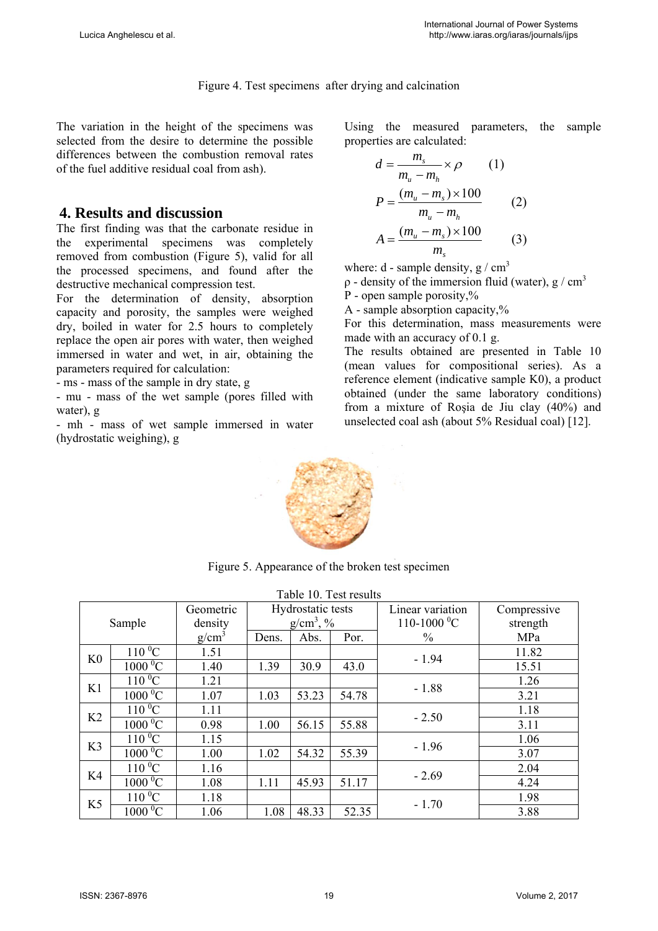Figure 4. Test specimens after drying and calcination

The variation in the height of the specimens was selected from the desire to determine the possible differences between the combustion removal rates of the fuel additive residual coal from ash).

## **4. Results and discussion**

The first finding was that the carbonate residue in the experimental specimens was completely removed from combustion (Figure 5), valid for all the processed specimens, and found after the destructive mechanical compression test.

For the determination of density, absorption capacity and porosity, the samples were weighed dry, boiled in water for 2.5 hours to completely replace the open air pores with water, then weighed immersed in water and wet, in air, obtaining the parameters required for calculation:

- ms - mass of the sample in dry state, g

- mu - mass of the wet sample (pores filled with water), g

- mh - mass of wet sample immersed in water (hydrostatic weighing), g

Using the measured parameters, the sample properties are calculated:

$$
d = \frac{m_s}{m_u - m_h} \times \rho \qquad (1)
$$
  
\n
$$
P = \frac{(m_u - m_s) \times 100}{m_u - m_h} \qquad (2)
$$
  
\n
$$
A = \frac{(m_u - m_s) \times 100}{m_s} \qquad (3)
$$

where:  $d$  - sample density,  $g / cm<sup>3</sup>$ 

 $ρ$  - density of the immersion fluid (water), g / cm<sup>3</sup>

P - open sample porosity,%

A - sample absorption capacity,%

For this determination, mass measurements were made with an accuracy of 0.1 g.

The results obtained are presented in Table 10 (mean values for compositional series). As a reference element (indicative sample K0), a product obtained (under the same laboratory conditions) from a mixture of Roşia de Jiu clay (40%) and unselected coal ash (about 5% Residual coal) [12].



Figure 5. Appearance of the broken test specimen

|                | Table 10. Test results |           |                   |              |       |                      |             |  |  |  |  |
|----------------|------------------------|-----------|-------------------|--------------|-------|----------------------|-------------|--|--|--|--|
|                |                        | Geometric | Hydrostatic tests |              |       | Linear variation     | Compressive |  |  |  |  |
|                | Sample                 | density   |                   | $g/cm^3$ , % |       | $110-1000 \degree C$ | strength    |  |  |  |  |
|                |                        | $g/cm^3$  | Dens.             | Abs.         | Por.  | $\frac{0}{0}$        | MPa         |  |  |  |  |
| K <sub>0</sub> | $110\,^0C$             | 1.51      |                   |              |       | $-1.94$              | 11.82       |  |  |  |  |
|                | $1000\overline{{}^0C}$ | 1.40      | 1.39              | 30.9         | 43.0  |                      | 15.51       |  |  |  |  |
| K1             | $110\,^0C$             | 1.21      |                   |              |       | $-1.88$              | 1.26        |  |  |  |  |
|                | $1000\overline{{}^0C}$ | 1.07      | 1.03              | 53.23        | 54.78 |                      | 3.21        |  |  |  |  |
| K <sub>2</sub> | $110\,^0$ C            | 1.11      |                   |              |       | $-2.50$              | 1.18        |  |  |  |  |
|                | $1000\overline{{}^0C}$ | 0.98      | 1.00              | 56.15        | 55.88 |                      | 3.11        |  |  |  |  |
| K <sub>3</sub> | $110\overline{{}^0C}$  | 1.15      |                   |              |       | $-1.96$              | 1.06        |  |  |  |  |
|                | $1000\,^0C$            | 1.00      | 1.02              | 54.32        | 55.39 |                      | 3.07        |  |  |  |  |
| K4             | $110\,^0C$             | 1.16      |                   |              |       | $-2.69$              | 2.04        |  |  |  |  |
|                | $1000\text{ °C}$       | 1.08      | 1.11              | 45.93        | 51.17 |                      | 4.24        |  |  |  |  |
|                | $110\,^0C$             | 1.18      |                   |              |       | $-1.70$              | 1.98        |  |  |  |  |
| K <sub>5</sub> | $1000\,^0C$            | 1.06      | 1.08              | 48.33        | 52.35 |                      | 3.88        |  |  |  |  |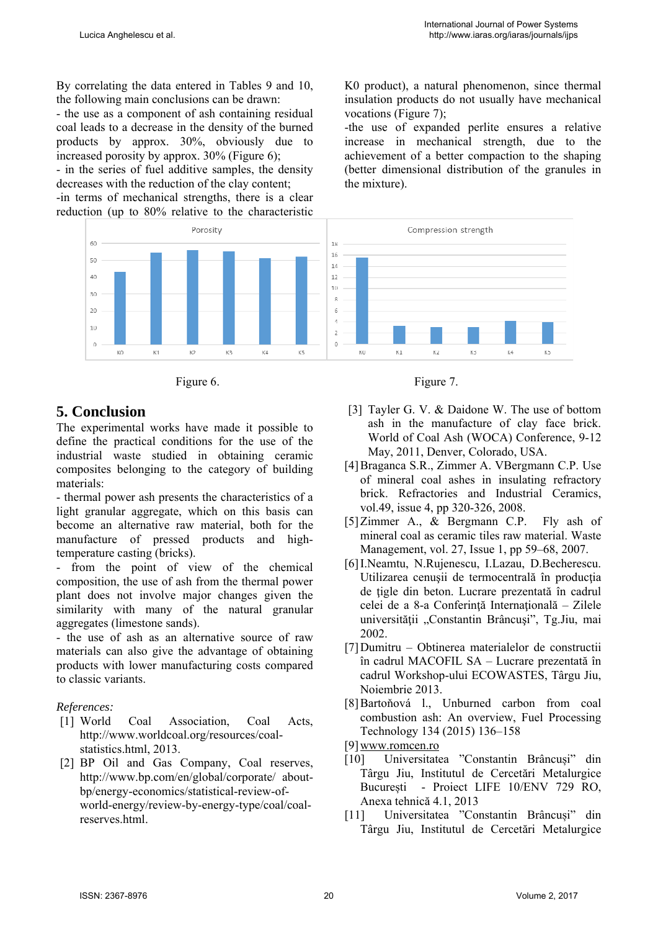K0 product), a natural phenomenon, since thermal insulation products do not usually have mechanical

-the use of expanded perlite ensures a relative increase in mechanical strength, due to the achievement of a better compaction to the shaping (better dimensional distribution of the granules in

vocations (Figure 7);

the mixture).

By correlating the data entered in Tables 9 and 10, the following main conclusions can be drawn:

- the use as a component of ash containing residual coal leads to a decrease in the density of the burned products by approx. 30%, obviously due to increased porosity by approx.  $30\%$  (Figure 6);

- in the series of fuel additive samples, the density decreases with the reduction of the clay content; -in terms of mechanical strengths, there is a clear reduction (up to 80% relative to the characteristic

Porosity Compression strength 18 16 14  $12$  $10$  $\delta$  $\epsilon$  $\lambda$  $\overline{z}$  $\overline{0}$ ю KO.  $K1$ KR. кA K5  $K1$  $K2$  $K4$ KO K3 K5



## **5. Conclusion**

60

 $50$ 

 $40$ 

30

 $\overline{20}$ 

10

 $\theta$ 

The experimental works have made it possible to define the practical conditions for the use of the industrial waste studied in obtaining ceramic composites belonging to the category of building materials:

- thermal power ash presents the characteristics of a light granular aggregate, which on this basis can become an alternative raw material, both for the manufacture of pressed products and hightemperature casting (bricks).

- from the point of view of the chemical composition, the use of ash from the thermal power plant does not involve major changes given the similarity with many of the natural granular aggregates (limestone sands).

- the use of ash as an alternative source of raw materials can also give the advantage of obtaining products with lower manufacturing costs compared to classic variants.

## *References:*

- [1] World Coal Association, Coal Acts, http://www.worldcoal.org/resources/coalstatistics.html, 2013.
- [2] BP Oil and Gas Company, Coal reserves, http://www.bp.com/en/global/corporate/ aboutbp/energy-economics/statistical-review-ofworld-energy/review-by-energy-type/coal/coalreserves.html.



- [3] Tayler G. V. & Daidone W. The use of bottom ash in the manufacture of clay face brick. World of Coal Ash (WOCA) Conference, 9-12 May, 2011, Denver, Colorado, USA.
- [4]Braganca S.R., Zimmer A. VBergmann C.P. Use of mineral coal ashes in insulating refractory brick. Refractories and Industrial Ceramics, vol.49, issue 4, pp 320-326, 2008.
- [5]Zimmer A., & Bergmann C.P. Fly ash of mineral coal as ceramic tiles raw material. Waste Management, vol. 27, Issue 1, pp 59–68, 2007.
- [6]I.Neamtu, N.Rujenescu, I.Lazau, D.Becherescu. Utilizarea cenusii de termocentrală în productia de țigle din beton. Lucrare prezentată în cadrul celei de a 8-a Conferință Internațională – Zilele universității "Constantin Brâncuși", Tg.Jiu, mai 2002.
- [7]Dumitru Obtinerea materialelor de constructii în cadrul MACOFIL SA – Lucrare prezentată în cadrul Workshop-ului ECOWASTES, Târgu Jiu, Noiembrie 2013.
- [8]Bartoňová l., Unburned carbon from coal combustion ash: An overview, Fuel Processing Technology 134 (2015) 136–158
- [9]www.romcen.ro
- [10] Universitatea "Constantin Brâncuși" din Târgu Jiu, Institutul de Cercetări Metalurgice București - Proiect LIFE 10/ENV 729 RO, Anexa tehnică 4.1, 2013
- [11] Universitatea "Constantin Brâncuși" din Târgu Jiu, Institutul de Cercetări Metalurgice